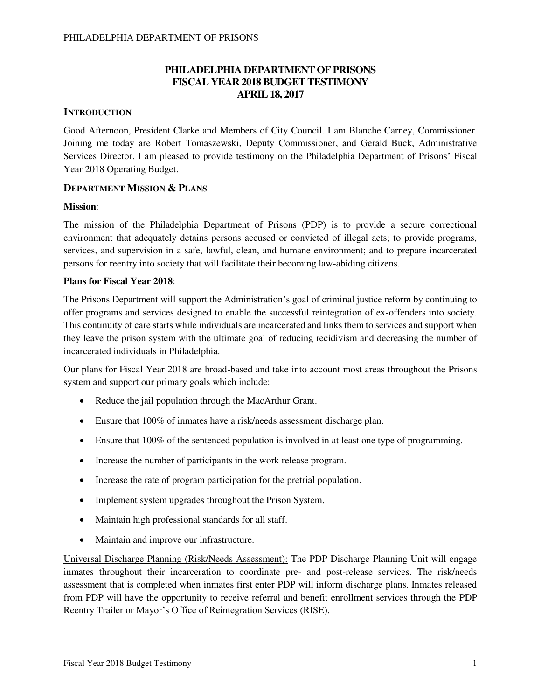## **PHILADELPHIA DEPARTMENT OF PRISONS FISCAL YEAR 2018 BUDGET TESTIMONY APRIL 18, 2017**

### **INTRODUCTION**

Good Afternoon, President Clarke and Members of City Council. I am Blanche Carney, Commissioner. Joining me today are Robert Tomaszewski, Deputy Commissioner, and Gerald Buck, Administrative Services Director. I am pleased to provide testimony on the Philadelphia Department of Prisons' Fiscal Year 2018 Operating Budget.

### **DEPARTMENT MISSION & PLANS**

### **Mission**:

The mission of the Philadelphia Department of Prisons (PDP) is to provide a secure correctional environment that adequately detains persons accused or convicted of illegal acts; to provide programs, services, and supervision in a safe, lawful, clean, and humane environment; and to prepare incarcerated persons for reentry into society that will facilitate their becoming law-abiding citizens.

### **Plans for Fiscal Year 2018**:

The Prisons Department will support the Administration's goal of criminal justice reform by continuing to offer programs and services designed to enable the successful reintegration of ex-offenders into society. This continuity of care starts while individuals are incarcerated and links them to services and support when they leave the prison system with the ultimate goal of reducing recidivism and decreasing the number of incarcerated individuals in Philadelphia.

Our plans for Fiscal Year 2018 are broad-based and take into account most areas throughout the Prisons system and support our primary goals which include:

- Reduce the jail population through the MacArthur Grant.
- Ensure that 100% of inmates have a risk/needs assessment discharge plan.
- Ensure that 100% of the sentenced population is involved in at least one type of programming.
- Increase the number of participants in the work release program.
- Increase the rate of program participation for the pretrial population.
- Implement system upgrades throughout the Prison System.
- Maintain high professional standards for all staff.
- Maintain and improve our infrastructure.

Universal Discharge Planning (Risk/Needs Assessment): The PDP Discharge Planning Unit will engage inmates throughout their incarceration to coordinate pre- and post-release services. The risk/needs assessment that is completed when inmates first enter PDP will inform discharge plans. Inmates released from PDP will have the opportunity to receive referral and benefit enrollment services through the PDP Reentry Trailer or Mayor's Office of Reintegration Services (RISE).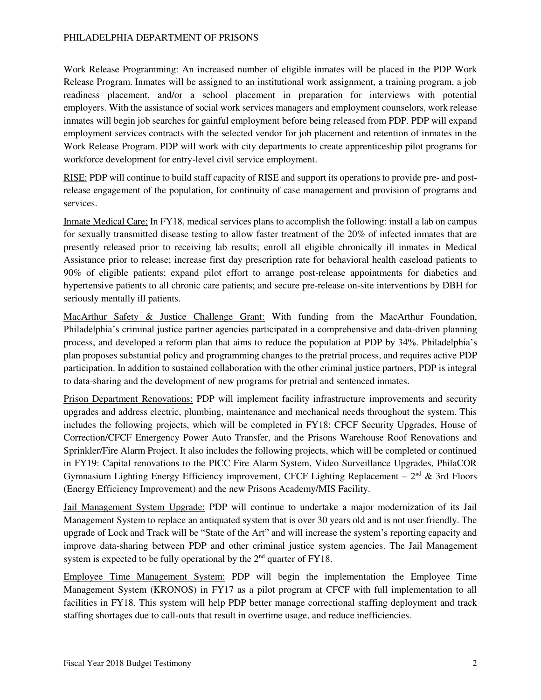Work Release Programming: An increased number of eligible inmates will be placed in the PDP Work Release Program. Inmates will be assigned to an institutional work assignment, a training program, a job readiness placement, and/or a school placement in preparation for interviews with potential employers. With the assistance of social work services managers and employment counselors, work release inmates will begin job searches for gainful employment before being released from PDP. PDP will expand employment services contracts with the selected vendor for job placement and retention of inmates in the Work Release Program. PDP will work with city departments to create apprenticeship pilot programs for workforce development for entry-level civil service employment.

RISE: PDP will continue to build staff capacity of RISE and support its operations to provide pre- and postrelease engagement of the population, for continuity of case management and provision of programs and services.

Inmate Medical Care: In FY18, medical services plans to accomplish the following: install a lab on campus for sexually transmitted disease testing to allow faster treatment of the 20% of infected inmates that are presently released prior to receiving lab results; enroll all eligible chronically ill inmates in Medical Assistance prior to release; increase first day prescription rate for behavioral health caseload patients to 90% of eligible patients; expand pilot effort to arrange post-release appointments for diabetics and hypertensive patients to all chronic care patients; and secure pre-release on-site interventions by DBH for seriously mentally ill patients.

MacArthur Safety & Justice Challenge Grant: With funding from the MacArthur Foundation, Philadelphia's criminal justice partner agencies participated in a comprehensive and data-driven planning process, and developed a reform plan that aims to reduce the population at PDP by 34%. Philadelphia's plan proposes substantial policy and programming changes to the pretrial process, and requires active PDP participation. In addition to sustained collaboration with the other criminal justice partners, PDP is integral to data-sharing and the development of new programs for pretrial and sentenced inmates.

Prison Department Renovations: PDP will implement facility infrastructure improvements and security upgrades and address electric, plumbing, maintenance and mechanical needs throughout the system. This includes the following projects, which will be completed in FY18: CFCF Security Upgrades, House of Correction/CFCF Emergency Power Auto Transfer, and the Prisons Warehouse Roof Renovations and Sprinkler/Fire Alarm Project. It also includes the following projects, which will be completed or continued in FY19: Capital renovations to the PICC Fire Alarm System, Video Surveillance Upgrades, PhilaCOR Gymnasium Lighting Energy Efficiency improvement, CFCF Lighting Replacement –  $2<sup>nd</sup>$  & 3rd Floors (Energy Efficiency Improvement) and the new Prisons Academy/MIS Facility.

Jail Management System Upgrade: PDP will continue to undertake a major modernization of its Jail Management System to replace an antiquated system that is over 30 years old and is not user friendly. The upgrade of Lock and Track will be "State of the Art" and will increase the system's reporting capacity and improve data-sharing between PDP and other criminal justice system agencies. The Jail Management system is expected to be fully operational by the  $2<sup>nd</sup>$  quarter of FY18.

Employee Time Management System: PDP will begin the implementation the Employee Time Management System (KRONOS) in FY17 as a pilot program at CFCF with full implementation to all facilities in FY18. This system will help PDP better manage correctional staffing deployment and track staffing shortages due to call-outs that result in overtime usage, and reduce inefficiencies.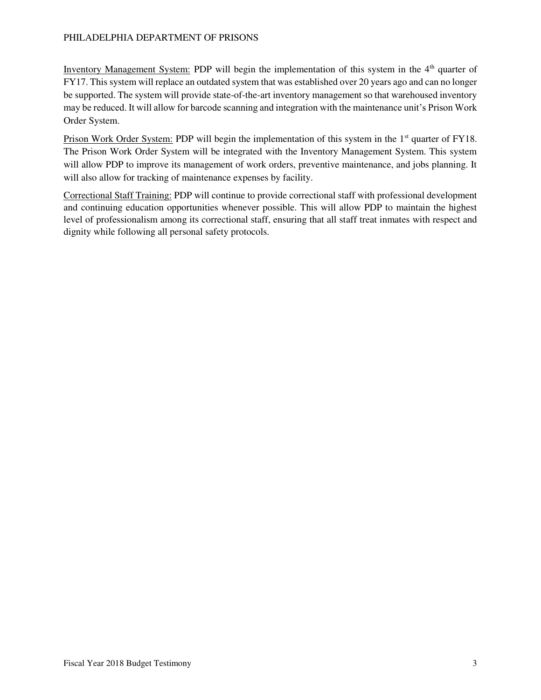Inventory Management System: PDP will begin the implementation of this system in the  $4<sup>th</sup>$  quarter of FY17. This system will replace an outdated system that was established over 20 years ago and can no longer be supported. The system will provide state-of-the-art inventory management so that warehoused inventory may be reduced. It will allow for barcode scanning and integration with the maintenance unit's Prison Work Order System.

Prison Work Order System: PDP will begin the implementation of this system in the 1<sup>st</sup> quarter of FY18. The Prison Work Order System will be integrated with the Inventory Management System. This system will allow PDP to improve its management of work orders, preventive maintenance, and jobs planning. It will also allow for tracking of maintenance expenses by facility.

Correctional Staff Training: PDP will continue to provide correctional staff with professional development and continuing education opportunities whenever possible. This will allow PDP to maintain the highest level of professionalism among its correctional staff, ensuring that all staff treat inmates with respect and dignity while following all personal safety protocols.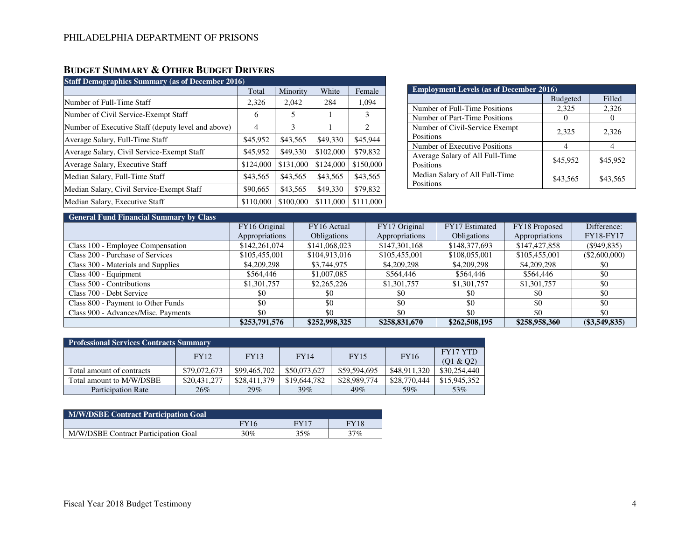# **BUDGET SUMMARY & OTHER BUDGET DRIVERS**

| <b>Staff Demographics Summary (as of December 2016)</b> |           |           |           |           |  |  |  |  |  |  |  |  |
|---------------------------------------------------------|-----------|-----------|-----------|-----------|--|--|--|--|--|--|--|--|
|                                                         | Total     | Minority  | White     | Female    |  |  |  |  |  |  |  |  |
| Number of Full-Time Staff                               | 2,326     | 2,042     | 284       | 1,094     |  |  |  |  |  |  |  |  |
| Number of Civil Service-Exempt Staff                    | 6         | 5         | 1         | 3         |  |  |  |  |  |  |  |  |
| Number of Executive Staff (deputy level and above)      | 4         | 3         |           | 2         |  |  |  |  |  |  |  |  |
| Average Salary, Full-Time Staff                         | \$45,952  | \$43,565  | \$49,330  | \$45,944  |  |  |  |  |  |  |  |  |
| Average Salary, Civil Service-Exempt Staff              | \$45,952  | \$49,330  | \$102,000 | \$79,832  |  |  |  |  |  |  |  |  |
| Average Salary, Executive Staff                         | \$124,000 | \$131,000 | \$124,000 | \$150,000 |  |  |  |  |  |  |  |  |
| Median Salary, Full-Time Staff                          | \$43,565  | \$43,565  | \$43,565  | \$43,565  |  |  |  |  |  |  |  |  |
| Median Salary, Civil Service-Exempt Staff               | \$90,665  | \$43,565  | \$49,330  | \$79,832  |  |  |  |  |  |  |  |  |
| Median Salary, Executive Staff                          | \$110,000 | \$100,000 | \$111,000 | \$111,000 |  |  |  |  |  |  |  |  |

| <b>Employment Levels (as of December 2016)</b> |                 |          |  |  |  |  |  |  |  |  |
|------------------------------------------------|-----------------|----------|--|--|--|--|--|--|--|--|
|                                                | <b>Budgeted</b> | Filled   |  |  |  |  |  |  |  |  |
| Number of Full-Time Positions                  | 2,325           | 2,326    |  |  |  |  |  |  |  |  |
| Number of Part-Time Positions                  |                 |          |  |  |  |  |  |  |  |  |
| Number of Civil-Service Exempt<br>Positions    | 2,325           | 2,326    |  |  |  |  |  |  |  |  |
| Number of Executive Positions                  |                 |          |  |  |  |  |  |  |  |  |
| Average Salary of All Full-Time<br>Positions   | \$45,952        | \$45,952 |  |  |  |  |  |  |  |  |
| Median Salary of All Full-Time<br>Positions    | \$43,565        | \$43,565 |  |  |  |  |  |  |  |  |

### **General Fund Financial Summary by Class**

| <b>OCHUTAI FUNU FINANCIAI SUMMAI Y DY CIASS</b> |                |                    |                |                    |                |                  |
|-------------------------------------------------|----------------|--------------------|----------------|--------------------|----------------|------------------|
|                                                 | FY16 Original  | FY16 Actual        | FY17 Original  | FY17 Estimated     | FY18 Proposed  | Difference:      |
|                                                 | Appropriations | <b>Obligations</b> | Appropriations | <b>Obligations</b> | Appropriations | <b>FY18-FY17</b> |
| Class 100 - Employee Compensation               | \$142,261,074  | \$141,068,023      | \$147,301,168  | \$148,377,693      | \$147,427,858  | $(\$949,835)$    |
| Class 200 - Purchase of Services                | \$105,455,001  | \$104,913,016      | \$105,455,001  | \$108,055,001      | \$105,455,001  | $(\$2,600,000)$  |
| Class 300 - Materials and Supplies              | \$4,209,298    | \$3,744,975        | \$4,209,298    | \$4,209,298        | \$4,209,298    | \$0              |
| Class 400 - Equipment                           | \$564,446      | \$1,007,085        | \$564,446      | \$564,446          | \$564,446      | \$0              |
| Class 500 - Contributions                       | \$1,301,757    | \$2,265,226        | \$1,301,757    | \$1,301,757        | \$1,301,757    | \$0              |
| Class 700 - Debt Service                        | \$0            | \$0                | \$0            | \$0                | \$0            | \$0              |
| Class 800 - Payment to Other Funds              | \$0            | \$0                | \$0            | \$0                | \$0            | \$0              |
| Class 900 - Advances/Misc. Payments             | \$0            | \$0                | \$0            | \$0                | \$0            | \$0              |
|                                                 | \$253,791,576  | \$252,998,325      | \$258,831,670  | \$262,508,195      | \$258,958,360  | $(\$3,549,835)$  |

| <b>Professional Services Contracts Summary</b> |              |              |              |              |              |                       |  |  |  |  |  |  |  |
|------------------------------------------------|--------------|--------------|--------------|--------------|--------------|-----------------------|--|--|--|--|--|--|--|
|                                                | <b>FY12</b>  | FY13         | <b>FY14</b>  | <b>FY15</b>  | <b>FY16</b>  | FY17 YTD<br>(01 & 02) |  |  |  |  |  |  |  |
| Total amount of contracts                      | \$79,072,673 | \$99,465,702 | \$50,073,627 | \$59.594.695 | \$48,911,320 | \$30,254,440          |  |  |  |  |  |  |  |
| Total amount to M/W/DSBE                       | \$20,431,277 | \$28,411,379 | \$19,644,782 | \$28,989,774 | \$28,770,444 | \$15,945,352          |  |  |  |  |  |  |  |
| <b>Participation Rate</b>                      | 26%          | 29%          | 39%          | 49%          | 59%          | 53%                   |  |  |  |  |  |  |  |

| <b>M/W/DSBE Contract Participation Goal</b> |             |      |             |
|---------------------------------------------|-------------|------|-------------|
|                                             | <b>FY16</b> | FY17 | <b>FY18</b> |
| M/W/DSBE Contract Participation Goal        | $30\%$      | 35%  | 37%         |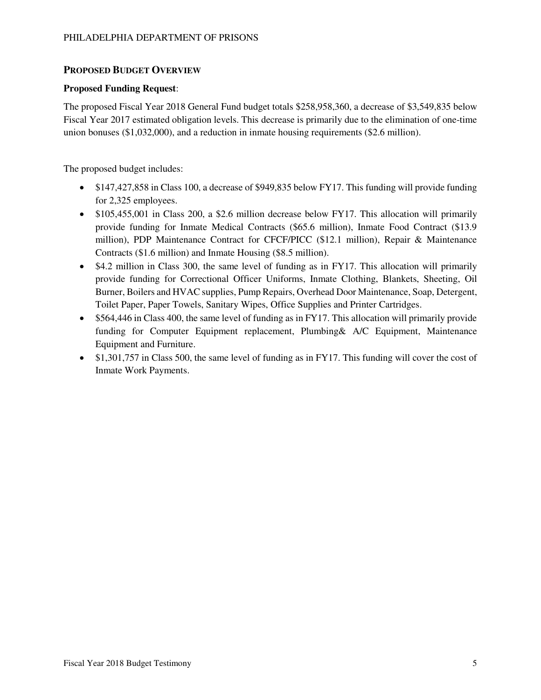### **PROPOSED BUDGET OVERVIEW**

### **Proposed Funding Request**:

The proposed Fiscal Year 2018 General Fund budget totals \$258,958,360, a decrease of \$3,549,835 below Fiscal Year 2017 estimated obligation levels. This decrease is primarily due to the elimination of one-time union bonuses (\$1,032,000), and a reduction in inmate housing requirements (\$2.6 million).

The proposed budget includes:

- \$147,427,858 in Class 100, a decrease of \$949,835 below FY17. This funding will provide funding for 2,325 employees.
- \$105,455,001 in Class 200, a \$2.6 million decrease below FY17. This allocation will primarily provide funding for Inmate Medical Contracts (\$65.6 million), Inmate Food Contract (\$13.9 million), PDP Maintenance Contract for CFCF/PICC (\$12.1 million), Repair & Maintenance Contracts (\$1.6 million) and Inmate Housing (\$8.5 million).
- \$4.2 million in Class 300, the same level of funding as in FY17. This allocation will primarily provide funding for Correctional Officer Uniforms, Inmate Clothing, Blankets, Sheeting, Oil Burner, Boilers and HVAC supplies, Pump Repairs, Overhead Door Maintenance, Soap, Detergent, Toilet Paper, Paper Towels, Sanitary Wipes, Office Supplies and Printer Cartridges.
- \$564,446 in Class 400, the same level of funding as in FY17. This allocation will primarily provide funding for Computer Equipment replacement, Plumbing& A/C Equipment, Maintenance Equipment and Furniture.
- $\bullet$  \$1,301,757 in Class 500, the same level of funding as in FY17. This funding will cover the cost of Inmate Work Payments.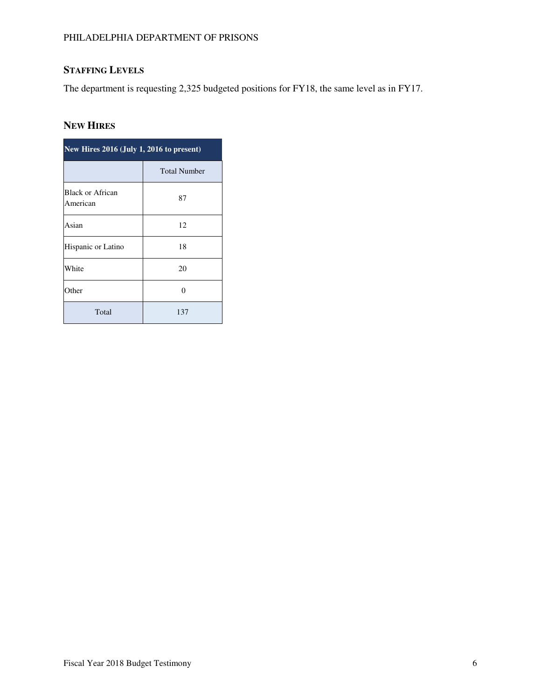# **STAFFING LEVELS**

The department is requesting 2,325 budgeted positions for FY18, the same level as in FY17.

# **NEW HIRES**

| New Hires 2016 (July 1, 2016 to present) |                     |
|------------------------------------------|---------------------|
|                                          | <b>Total Number</b> |
| <b>Black or African</b><br>American      | 87                  |
| Asian                                    | 12                  |
| Hispanic or Latino                       | 18                  |
| White                                    | 20                  |
| Other                                    | O                   |
| Total                                    | 137                 |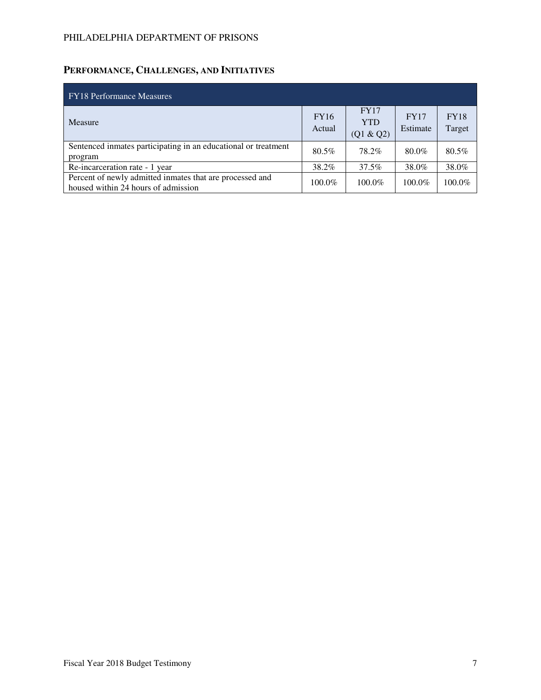# **PERFORMANCE, CHALLENGES, AND INITIATIVES**

| <b>FY18 Performance Measures</b>                                                                |                       |                                        |                         |                       |
|-------------------------------------------------------------------------------------------------|-----------------------|----------------------------------------|-------------------------|-----------------------|
| Measure                                                                                         | <b>FY16</b><br>Actual | <b>FY17</b><br><b>YTD</b><br>(Q1 & Q2) | <b>FY17</b><br>Estimate | <b>FY18</b><br>Target |
| Sentenced inmates participating in an educational or treatment<br>program                       | 80.5%                 | 78.2%                                  | 80.0%                   | 80.5%                 |
| Re-incarceration rate - 1 year                                                                  | 38.2%                 | 37.5%                                  | 38.0%                   | 38.0%                 |
| Percent of newly admitted inmates that are processed and<br>housed within 24 hours of admission | 100.0%                | $100.0\%$                              | $100.0\%$               | 100.0%                |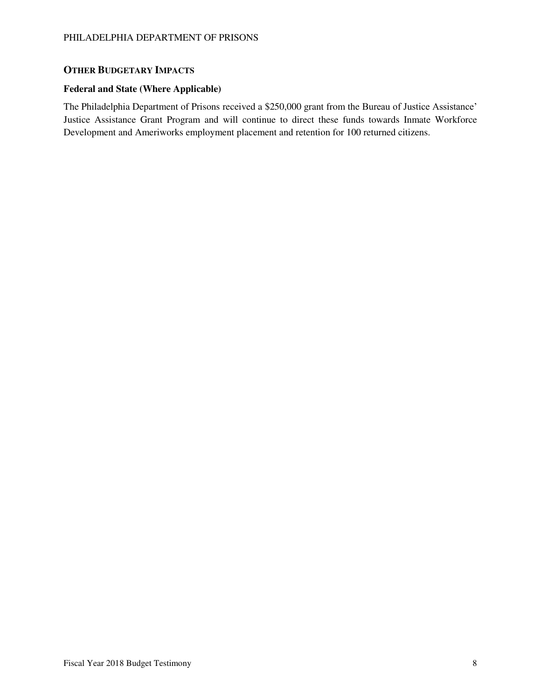## **OTHER BUDGETARY IMPACTS**

### **Federal and State (Where Applicable)**

The Philadelphia Department of Prisons received a \$250,000 grant from the Bureau of Justice Assistance' Justice Assistance Grant Program and will continue to direct these funds towards Inmate Workforce Development and Ameriworks employment placement and retention for 100 returned citizens.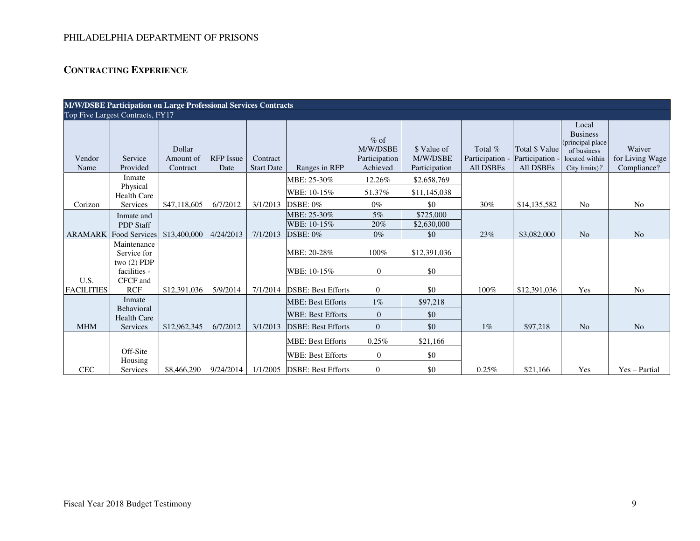# **CONTRACTING EXPERIENCE**

|                           |                                  |                                 |                          |                               |                             |                                                 |                                          |                                              |                                                     |                                                                                                 | M/W/DSBE Participation on Large Professional Services Contracts |  |  |  |  |  |  |  |  |  |  |  |  |  |
|---------------------------|----------------------------------|---------------------------------|--------------------------|-------------------------------|-----------------------------|-------------------------------------------------|------------------------------------------|----------------------------------------------|-----------------------------------------------------|-------------------------------------------------------------------------------------------------|-----------------------------------------------------------------|--|--|--|--|--|--|--|--|--|--|--|--|--|
|                           | Top Five Largest Contracts, FY17 |                                 |                          |                               |                             |                                                 |                                          |                                              |                                                     |                                                                                                 |                                                                 |  |  |  |  |  |  |  |  |  |  |  |  |  |
| Vendor<br>Name            | Service<br>Provided              | Dollar<br>Amount of<br>Contract | <b>RFP</b> Issue<br>Date | Contract<br><b>Start Date</b> | Ranges in RFP               | $%$ of<br>M/W/DSBE<br>Participation<br>Achieved | \$ Value of<br>M/W/DSBE<br>Participation | Total %<br>Participation<br><b>All DSBEs</b> | Total \$ Value<br>Participation<br><b>All DSBEs</b> | Local<br><b>Business</b><br>(principal place)<br>of business<br>located within<br>City limits)? | Waiver<br>for Living Wage<br>Compliance?                        |  |  |  |  |  |  |  |  |  |  |  |  |  |
|                           | Inmate                           |                                 |                          |                               | MBE: 25-30%                 | 12.26%                                          | \$2,658,769                              |                                              |                                                     |                                                                                                 |                                                                 |  |  |  |  |  |  |  |  |  |  |  |  |  |
|                           | Physical<br><b>Health Care</b>   |                                 |                          |                               | WBE: 10-15%                 | 51.37%                                          | \$11,145,038                             |                                              |                                                     |                                                                                                 |                                                                 |  |  |  |  |  |  |  |  |  |  |  |  |  |
| Corizon                   | Services                         | \$47,118,605                    | 6/7/2012                 | 3/1/2013                      | <b>DSBE: 0%</b>             | $0\%$                                           | \$0                                      | 30%                                          | \$14,135,582                                        | No                                                                                              | N <sub>o</sub>                                                  |  |  |  |  |  |  |  |  |  |  |  |  |  |
|                           | Inmate and                       |                                 |                          |                               | MBE: 25-30%                 | 5%                                              | \$725,000                                |                                              |                                                     |                                                                                                 |                                                                 |  |  |  |  |  |  |  |  |  |  |  |  |  |
|                           | <b>PDP Staff</b>                 |                                 |                          |                               | WBE: 10-15%                 | 20%                                             | \$2,630,000                              |                                              |                                                     |                                                                                                 |                                                                 |  |  |  |  |  |  |  |  |  |  |  |  |  |
|                           | <b>ARAMARK</b> Food Services     | \$13,400,000                    | 4/24/2013                | 7/1/2013                      | <b>DSBE: 0%</b>             | $0\%$                                           | \$0                                      | 23%                                          | \$3,082,000                                         | N <sub>o</sub>                                                                                  | N <sub>o</sub>                                                  |  |  |  |  |  |  |  |  |  |  |  |  |  |
|                           | Maintenance<br>Service for       |                                 |                          |                               | MBE: 20-28%                 | 100%                                            | \$12,391,036                             |                                              |                                                     |                                                                                                 |                                                                 |  |  |  |  |  |  |  |  |  |  |  |  |  |
|                           | two $(2)$ PDP<br>facilities -    |                                 |                          |                               | WBE: 10-15%                 | $\mathbf{0}$                                    | \$0                                      |                                              |                                                     |                                                                                                 |                                                                 |  |  |  |  |  |  |  |  |  |  |  |  |  |
| U.S.<br><b>FACILITIES</b> | CFCF and<br><b>RCF</b>           | \$12,391,036                    | 5/9/2014                 | 7/1/2014                      | <b>DSBE: Best Efforts</b>   | $\overline{0}$                                  | \$0                                      | 100%                                         | \$12,391,036                                        | Yes                                                                                             | N <sub>o</sub>                                                  |  |  |  |  |  |  |  |  |  |  |  |  |  |
|                           | Inmate                           |                                 |                          |                               | <b>MBE: Best Efforts</b>    | $1\%$                                           | \$97,218                                 |                                              |                                                     |                                                                                                 |                                                                 |  |  |  |  |  |  |  |  |  |  |  |  |  |
|                           | Behavioral<br><b>Health Care</b> |                                 |                          |                               | <b>WBE: Best Efforts</b>    | $\Omega$                                        | \$0                                      |                                              |                                                     |                                                                                                 |                                                                 |  |  |  |  |  |  |  |  |  |  |  |  |  |
| <b>MHM</b>                | Services                         | \$12,962,345                    | 6/7/2012                 | 3/1/2013                      | <b>DSBE: Best Efforts</b>   | $\overline{0}$                                  | \$0                                      | $1\%$                                        | \$97,218                                            | N <sub>o</sub>                                                                                  | N <sub>o</sub>                                                  |  |  |  |  |  |  |  |  |  |  |  |  |  |
|                           |                                  |                                 |                          |                               | <b>MBE: Best Efforts</b>    | $0.25\%$                                        | \$21,166                                 |                                              |                                                     |                                                                                                 |                                                                 |  |  |  |  |  |  |  |  |  |  |  |  |  |
|                           | Off-Site<br>Housing              |                                 |                          |                               | <b>WBE: Best Efforts</b>    | $\theta$                                        | \$0                                      |                                              |                                                     |                                                                                                 |                                                                 |  |  |  |  |  |  |  |  |  |  |  |  |  |
| <b>CEC</b>                | Services                         | \$8,466,290                     | 9/24/2014                |                               | 1/1/2005 DSBE: Best Efforts | $\overline{0}$                                  | \$0                                      | 0.25%                                        | \$21,166                                            | Yes                                                                                             | Yes - Partial                                                   |  |  |  |  |  |  |  |  |  |  |  |  |  |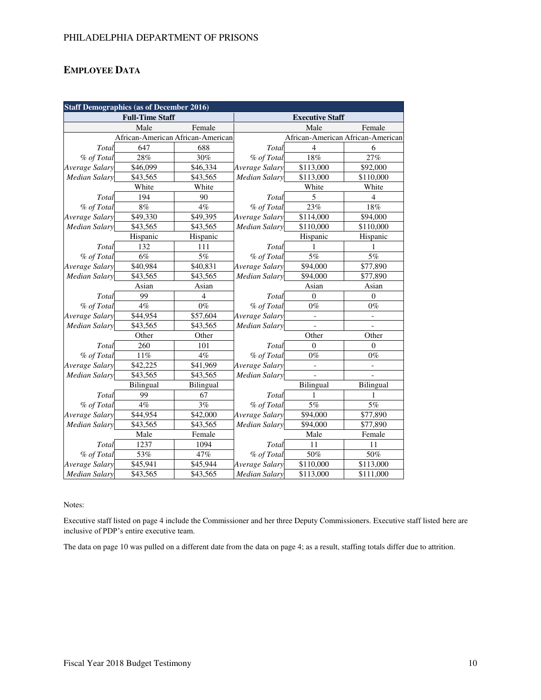## **EMPLOYEE DATA**

| <b>Staff Demographics (as of December 2016)</b> |                                   |           |                        |                                   |           |  |  |  |  |  |
|-------------------------------------------------|-----------------------------------|-----------|------------------------|-----------------------------------|-----------|--|--|--|--|--|
|                                                 | <b>Full-Time Staff</b>            |           | <b>Executive Staff</b> |                                   |           |  |  |  |  |  |
|                                                 | Male                              | Female    |                        | Male                              | Female    |  |  |  |  |  |
|                                                 | African-American African-American |           |                        | African-American African-American |           |  |  |  |  |  |
| Total                                           | 647                               | 688       | Total                  | $\overline{\mathcal{L}}$          | 6         |  |  |  |  |  |
| % of Total                                      | 28%                               | 30%       | % of Total             | 18%                               | 27%       |  |  |  |  |  |
| Average Salary                                  | \$46,099                          | \$46,334  | Average Salary         | \$113,000                         | \$92,000  |  |  |  |  |  |
| <b>Median Salary</b>                            | \$43,565                          | \$43,565  | <b>Median Salary</b>   | \$113,000                         | \$110,000 |  |  |  |  |  |
|                                                 | White                             | White     |                        | White                             | White     |  |  |  |  |  |
| Total                                           | 194                               | 90        | Total                  | 5                                 | 4         |  |  |  |  |  |
| % of Total                                      | 8%                                | 4%        | % of Total             | 23%                               | 18%       |  |  |  |  |  |
| Average Salary                                  | \$49,330                          | \$49,395  | Average Salary         | \$114,000                         | \$94,000  |  |  |  |  |  |
| <b>Median Salary</b>                            | \$43,565                          | \$43,565  | <b>Median Salary</b>   | \$110,000                         | \$110,000 |  |  |  |  |  |
|                                                 | Hispanic                          | Hispanic  |                        | Hispanic                          | Hispanic  |  |  |  |  |  |
| Total                                           | 132                               | 111       | Total                  |                                   |           |  |  |  |  |  |
| % of Total                                      | 6%                                | 5%        | % of Total             | 5%                                | 5%        |  |  |  |  |  |
| Average Salary                                  | \$40,984                          | \$40,831  | Average Salary         | \$94,000                          | \$77,890  |  |  |  |  |  |
| <b>Median Salary</b>                            | \$43,565                          | \$43,565  | <b>Median Salary</b>   | \$94,000                          | \$77,890  |  |  |  |  |  |
|                                                 | Asian                             | Asian     |                        | Asian                             | Asian     |  |  |  |  |  |
| Total                                           | 99                                | 4         | Total                  | $\overline{0}$                    | $\Omega$  |  |  |  |  |  |
| % of Total                                      | 4%                                | $0\%$     | % of Total             | $0\%$                             | $0\%$     |  |  |  |  |  |
| Average Salary                                  | \$44,954                          | \$57,604  | Average Salary         | $\frac{1}{2}$                     |           |  |  |  |  |  |
| <b>Median Salary</b>                            | \$43,565                          | \$43,565  | <b>Median Salary</b>   | $\blacksquare$                    |           |  |  |  |  |  |
|                                                 | Other                             | Other     |                        | Other                             | Other     |  |  |  |  |  |
| Total                                           | 260                               | 101       | Total                  | $\overline{0}$                    | $\theta$  |  |  |  |  |  |
| % of Total                                      | 11%                               | $4\%$     | % of Total             | $0\%$                             | $0\%$     |  |  |  |  |  |
| Average Salary                                  | \$42,225                          | \$41,969  | Average Salary         | $\overline{\phantom{a}}$          |           |  |  |  |  |  |
| <b>Median Salary</b>                            | \$43,565                          | \$43,565  | <b>Median Salary</b>   |                                   |           |  |  |  |  |  |
|                                                 | Bilingual                         | Bilingual |                        | Bilingual                         | Bilingual |  |  |  |  |  |
| Total                                           | 99                                | 67        | Total                  |                                   |           |  |  |  |  |  |
| % of Total                                      | 4%                                | 3%        | % of Total             | $\overline{5\%}$                  | $5\%$     |  |  |  |  |  |
| Average Salary                                  | \$44,954                          | \$42,000  | Average Salary         | \$94,000                          | \$77,890  |  |  |  |  |  |
| <b>Median Salary</b>                            | \$43,565                          | \$43,565  | <b>Median Salary</b>   | \$94,000                          | \$77,890  |  |  |  |  |  |
|                                                 | Male                              | Female    |                        | Male                              | Female    |  |  |  |  |  |
| Total                                           | 1237                              | 1094      | Total                  | 11                                | 11        |  |  |  |  |  |
| % of Total                                      | 53%                               | 47%       | % of Total             | 50%                               | 50%       |  |  |  |  |  |
| Average Salary                                  | \$45,941                          | \$45,944  | Average Salary         | \$110,000                         | \$113,000 |  |  |  |  |  |
| <b>Median Salary</b>                            | \$43,565                          | \$43,565  | <b>Median Salary</b>   | \$113,000                         | \$111,000 |  |  |  |  |  |

Notes:

Executive staff listed on page 4 include the Commissioner and her three Deputy Commissioners. Executive staff listed here are inclusive of PDP's entire executive team.

The data on page 10 was pulled on a different date from the data on page 4; as a result, staffing totals differ due to attrition.